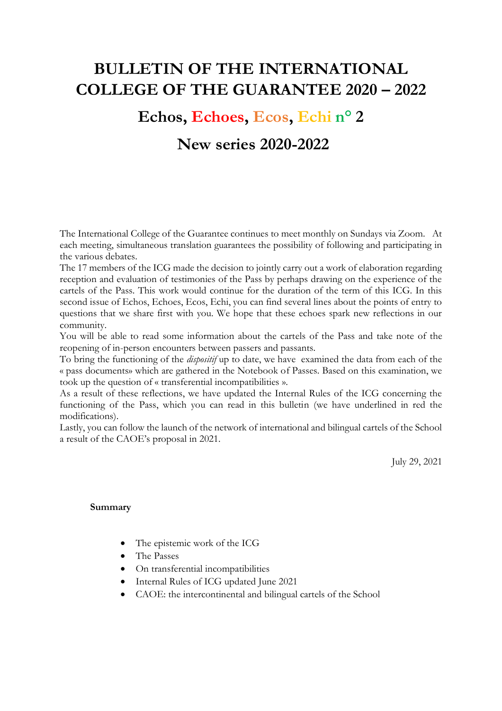# **BULLETIN OF THE INTERNATIONAL COLLEGE OF THE GUARANTEE 2020 – 2022**

# **Echos, Echoes, Ecos, Echi n° 2**

# **New series 2020-2022**

The International College of the Guarantee continues to meet monthly on Sundays via Zoom. At each meeting, simultaneous translation guarantees the possibility of following and participating in the various debates.

The 17 members of the ICG made the decision to jointly carry out a work of elaboration regarding reception and evaluation of testimonies of the Pass by perhaps drawing on the experience of the cartels of the Pass. This work would continue for the duration of the term of this ICG. In this second issue of Echos, Echoes, Ecos, Echi, you can find several lines about the points of entry to questions that we share first with you. We hope that these echoes spark new reflections in our community.

You will be able to read some information about the cartels of the Pass and take note of the reopening of in-person encounters between passers and passants.

To bring the functioning of the *dispositif* up to date, we have examined the data from each of the « pass documents» which are gathered in the Notebook of Passes. Based on this examination, we took up the question of « transferential incompatibilities ».

As a result of these reflections, we have updated the Internal Rules of the ICG concerning the functioning of the Pass, which you can read in this bulletin (we have underlined in red the modifications).

Lastly, you can follow the launch of the network of international and bilingual cartels of the School a result of the CAOE's proposal in 2021.

July 29, 2021

#### **Summary**

- The epistemic work of the ICG
- The Passes
- On transferential incompatibilities
- Internal Rules of ICG updated June 2021
- CAOE: the intercontinental and bilingual cartels of the School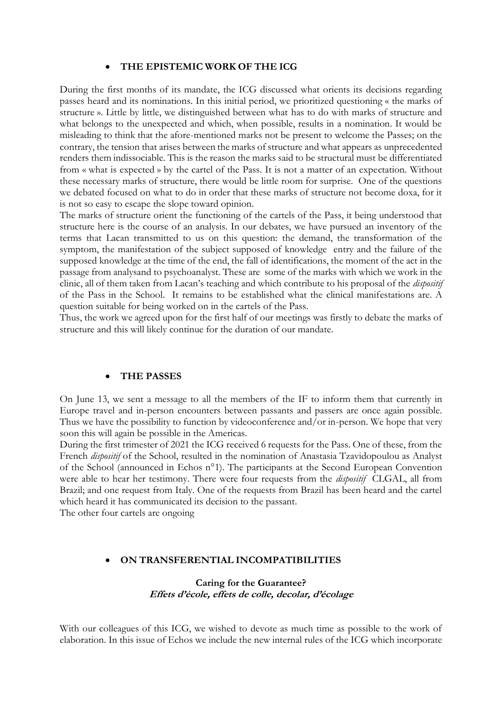#### • **THE EPISTEMIC WORK OF THE ICG**

During the first months of its mandate, the ICG discussed what orients its decisions regarding passes heard and its nominations. In this initial period, we prioritized questioning « the marks of structure ». Little by little, we distinguished between what has to do with marks of structure and what belongs to the unexpected and which, when possible, results in a nomination. It would be misleading to think that the afore-mentioned marks not be present to welcome the Passes; on the contrary, the tension that arises between the marks of structure and what appears as unprecedented renders them indissociable. This is the reason the marks said to be structural must be differentiated from « what is expected » by the cartel of the Pass. It is not a matter of an expectation. Without these necessary marks of structure, there would be little room for surprise. One of the questions we debated focused on what to do in order that these marks of structure not become doxa, for it is not so easy to escape the slope toward opinion.

The marks of structure orient the functioning of the cartels of the Pass, it being understood that structure here is the course of an analysis. In our debates, we have pursued an inventory of the terms that Lacan transmitted to us on this question: the demand, the transformation of the symptom, the manifestation of the subject supposed of knowledge entry and the failure of the supposed knowledge at the time of the end, the fall of identifications, the moment of the act in the passage from analysand to psychoanalyst. These are some of the marks with which we work in the clinic, all of them taken from Lacan's teaching and which contribute to his proposal of the *dispositif*  of the Pass in the School. It remains to be established what the clinical manifestations are. A question suitable for being worked on in the cartels of the Pass.

Thus, the work we agreed upon for the first half of our meetings was firstly to debate the marks of structure and this will likely continue for the duration of our mandate.

#### • **THE PASSES**

On June 13, we sent a message to all the members of the IF to inform them that currently in Europe travel and in-person encounters between passants and passers are once again possible. Thus we have the possibility to function by videoconference and/or in-person. We hope that very soon this will again be possible in the Americas.

During the first trimester of 2021 the ICG received 6 requests for the Pass. One of these, from the French *dispositif* of the School, resulted in the nomination of Anastasia Tzavidopoulou as Analyst of the School (announced in Echos n°1). The participants at the Second European Convention were able to hear her testimony. There were four requests from the *dispositif* CLGAL, all from Brazil; and one request from Italy. One of the requests from Brazil has been heard and the cartel which heard it has communicated its decision to the passant.

The other four cartels are ongoing

#### • **ON TRANSFERENTIAL INCOMPATIBILITIES**

#### **Caring for the Guarantee? Effets d'école, effets de colle, decolar, d'écolage**

With our colleagues of this ICG, we wished to devote as much time as possible to the work of elaboration. In this issue of Echos we include the new internal rules of the ICG which incorporate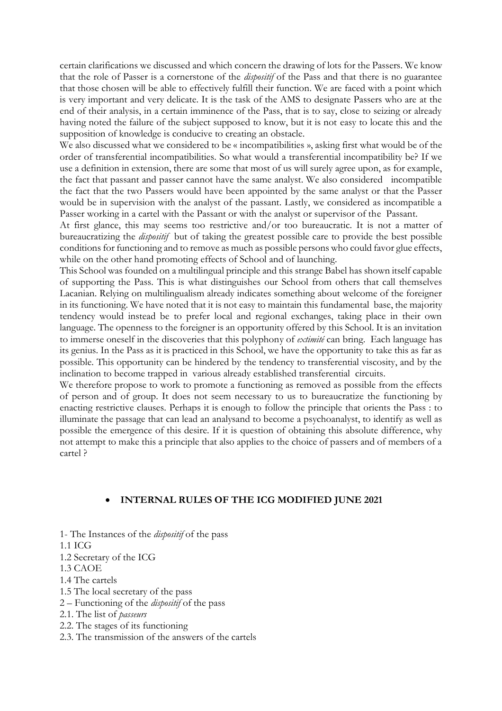certain clarifications we discussed and which concern the drawing of lots for the Passers. We know that the role of Passer is a cornerstone of the *dispositif* of the Pass and that there is no guarantee that those chosen will be able to effectively fulfill their function. We are faced with a point which is very important and very delicate. It is the task of the AMS to designate Passers who are at the end of their analysis, in a certain imminence of the Pass, that is to say, close to seizing or already having noted the failure of the subject supposed to know, but it is not easy to locate this and the supposition of knowledge is conducive to creating an obstacle.

We also discussed what we considered to be « incompatibilities », asking first what would be of the order of transferential incompatibilities. So what would a transferential incompatibility be? If we use a definition in extension, there are some that most of us will surely agree upon, as for example, the fact that passant and passer cannot have the same analyst. We also considered incompatible the fact that the two Passers would have been appointed by the same analyst or that the Passer would be in supervision with the analyst of the passant. Lastly, we considered as incompatible a Passer working in a cartel with the Passant or with the analyst or supervisor of the Passant.

At first glance, this may seems too restrictive and/or too bureaucratic. It is not a matter of bureaucratizing the *dispositif* but of taking the greatest possible care to provide the best possible conditions for functioning and to remove as much as possible persons who could favor glue effects, while on the other hand promoting effects of School and of launching.

This School was founded on a multilingual principle and this strange Babel has shown itself capable of supporting the Pass. This is what distinguishes our School from others that call themselves Lacanian. Relying on multilingualism already indicates something about welcome of the foreigner in its functioning. We have noted that it is not easy to maintain this fundamental base, the majority tendency would instead be to prefer local and regional exchanges, taking place in their own language. The openness to the foreigner is an opportunity offered by this School. It is an invitation to immerse oneself in the discoveries that this polyphony of *extimité* can bring. Each language has its genius. In the Pass as it is practiced in this School, we have the opportunity to take this as far as possible. This opportunity can be hindered by the tendency to transferential viscosity, and by the inclination to become trapped in various already established transferential circuits.

We therefore propose to work to promote a functioning as removed as possible from the effects of person and of group. It does not seem necessary to us to bureaucratize the functioning by enacting restrictive clauses. Perhaps it is enough to follow the principle that orients the Pass : to illuminate the passage that can lead an analysand to become a psychoanalyst, to identify as well as possible the emergence of this desire. If it is question of obtaining this absolute difference, why not attempt to make this a principle that also applies to the choice of passers and of members of a cartel ?

#### • **INTERNAL RULES OF THE ICG MODIFIED JUNE 2021**

- 1- The Instances of the *dispositif* of the pass
- 1.1 ICG
- 1.2 Secretary of the ICG
- 1.3 CAOE
- 1.4 The cartels
- 1.5 The local secretary of the pass
- 2 Functioning of the *dispositif* of the pass
- 2.1. The list of *passeurs*
- 2.2. The stages of its functioning
- 2.3. The transmission of the answers of the cartels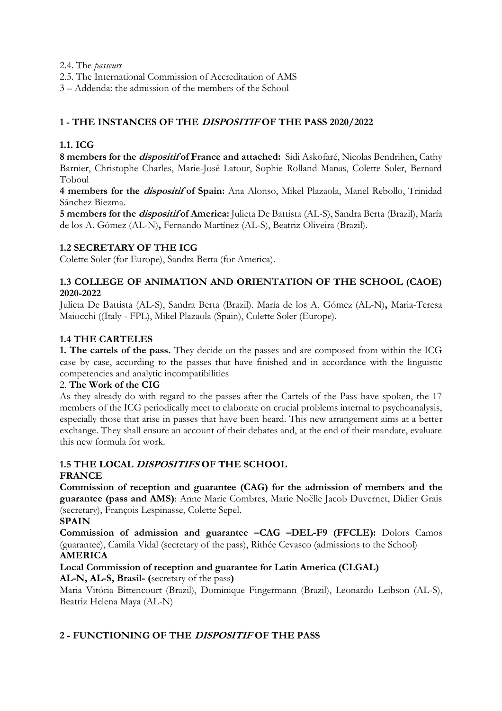2.4. The *passeurs*

2.5. The International Commission of Accreditation of AMS

3 – Addenda: the admission of the members of the School

# **1 - THE INSTANCES OF THE DISPOSITIF OF THE PASS 2020/2022**

# **1.1. ICG**

8 members for the *dispositif* of France and attached: Sidi Askofaré, Nicolas Bendrihen, Cathy Barnier, Christophe Charles, Marie-José Latour, Sophie Rolland Manas, Colette Soler, Bernard Toboul

**4 members for the dispositif of Spain:** Ana Alonso, Mikel Plazaola, Manel Rebollo, Trinidad Sánchez Biezma.

**5 members for the dispositif of America:** Julieta De Battista (AL-S), Sandra Berta (Brazil), María de los A. Gómez (AL-N)**,** Fernando Martínez (AL-S), Beatriz Oliveira (Brazil).

# **1.2 SECRETARY OF THE ICG**

Colette Soler (for Europe), Sandra Berta (for America).

#### **1.3 COLLEGE OF ANIMATION AND ORIENTATION OF THE SCHOOL (CAOE) 2020-2022**

Julieta De Battista (AL-S), Sandra Berta (Brazil). María de los A. Gómez (AL-N)**,** Maria-Teresa Maiocchi ((Italy - FPL), Mikel Plazaola (Spain), Colette Soler (Europe).

# **1.4 THE CARTELES**

**1. The cartels of the pass.** They decide on the passes and are composed from within the ICG case by case, according to the passes that have finished and in accordance with the linguistic competencies and analytic incompatibilities

### 2. **The Work of the CIG**

As they already do with regard to the passes after the Cartels of the Pass have spoken, the 17 members of the ICG periodically meet to elaborate on crucial problems internal to psychoanalysis, especially those that arise in passes that have been heard. This new arrangement aims at a better exchange. They shall ensure an account of their debates and, at the end of their mandate, evaluate this new formula for work.

# **1.5 THE LOCAL DISPOSITIFS OF THE SCHOOL**

# **FRANCE**

**Commission of reception and guarantee (CAG) for the admission of members and the guarantee (pass and AMS)**: Anne Marie Combres, Marie Noëlle Jacob Duvernet, Didier Grais (secretary), François Lespinasse, Colette Sepel.

#### **SPAIN**

**Commission of admission and guarantee –CAG –DEL-F9 (FFCLE):** Dolors Camos (guarantee), Camila Vidal (secretary of the pass), Rithée Cevasco (admissions to the School) **AMERICA** 

# **Local Commission of reception and guarantee for Latin America (CLGAL)**

**AL-N, AL-S, Brasil- (**secretary of the pass**)**

Maria Vitória Bittencourt (Brazil), Dominique Fingermann (Brazil), Leonardo Leibson (AL-S), Beatriz Helena Maya (AL-N)

# **2 - FUNCTIONING OF THE DISPOSITIF OF THE PASS**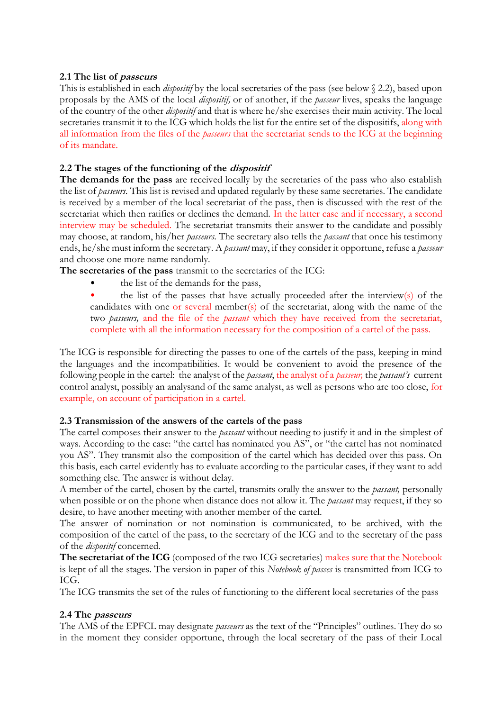#### **2.1 The list of passeurs**

This is established in each *dispositif* by the local secretaries of the pass (see below § 2.2), based upon proposals by the AMS of the local *dispositif,* or of another, if the *passeur* lives, speaks the language of the country of the other *dispositif* and that is where he/she exercises their main activity. The local secretaries transmit it to the ICG which holds the list for the entire set of the dispositifs, along with all information from the files of the *passeurs* that the secretariat sends to the ICG at the beginning of its mandate.

### **2.2 The stages of the functioning of the dispositif**

**The demands for the pass** are received locally by the secretaries of the pass who also establish the list of *passeurs.* This list is revised and updated regularly by these same secretaries. The candidate is received by a member of the local secretariat of the pass, then is discussed with the rest of the secretariat which then ratifies or declines the demand. In the latter case and if necessary, a second interview may be scheduled. The secretariat transmits their answer to the candidate and possibly may choose, at random, his/her *passeurs.* The secretary also tells the *passant* that once his testimony ends, he/she must inform the secretary. A *passant* may, if they consider it opportune, refuse a *passeur*  and choose one more name randomly.

**The secretaries of the pass** transmit to the secretaries of the ICG:

- the list of the demands for the pass,
- the list of the passes that have actually proceeded after the interview(s) of the candidates with one or several member(s) of the secretariat, along with the name of the two *passeurs,* and the file of the *passant* which they have received from the secretariat, complete with all the information necessary for the composition of a cartel of the pass.

The ICG is responsible for directing the passes to one of the cartels of the pass, keeping in mind the languages and the incompatibilities. It would be convenient to avoid the presence of the following people in the cartel: the analyst of the *passant*, the analyst of a *passeur,* the *passant's* current control analyst, possibly an analysand of the same analyst, as well as persons who are too close, for example, on account of participation in a cartel.

# **2.3 Transmission of the answers of the cartels of the pass**

The cartel composes their answer to the *passant* without needing to justify it and in the simplest of ways. According to the case: "the cartel has nominated you AS", or "the cartel has not nominated you AS". They transmit also the composition of the cartel which has decided over this pass. On this basis, each cartel evidently has to evaluate according to the particular cases, if they want to add something else. The answer is without delay.

A member of the cartel, chosen by the cartel, transmits orally the answer to the *passant,* personally when possible or on the phone when distance does not allow it. The *passant* may request, if they so desire, to have another meeting with another member of the cartel.

The answer of nomination or not nomination is communicated, to be archived, with the composition of the cartel of the pass, to the secretary of the ICG and to the secretary of the pass of the *dispositif* concerned.

**The secretariat of the ICG** (composed of the two ICG secretaries) makes sure that the Notebook is kept of all the stages. The version in paper of this *Notebook of passes* is transmitted from ICG to ICG.

The ICG transmits the set of the rules of functioning to the different local secretaries of the pass

#### **2.4 The passeurs**

The AMS of the EPFCL may designate *passeurs* as the text of the "Principles" outlines. They do so in the moment they consider opportune, through the local secretary of the pass of their Local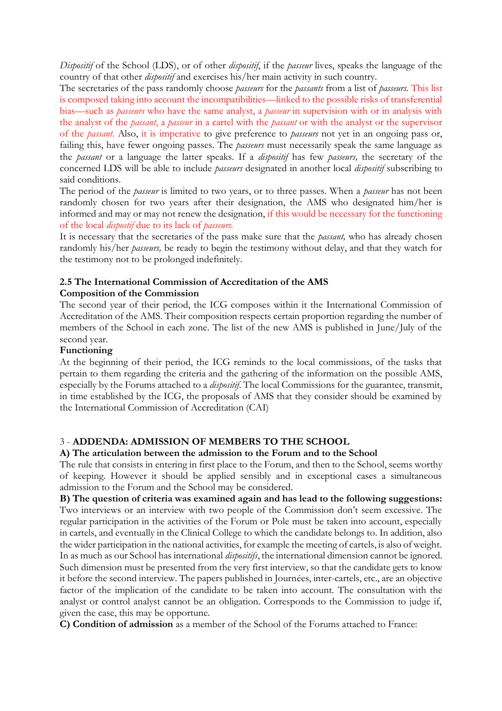*Dispositif* of the School (LDS), or of other *dispositif*, if the *passeur* lives, speaks the language of the country of that other *dispositif* and exercises his/her main activity in such country.

The secretaries of the pass randomly choose *passeurs* for the *passants* from a list of *passeurs.* This list is composed taking into account the incompatibilities—linked to the possible risks of transferential bias—such as *passeurs* who have the same analyst, a *passeur* in supervision with or in analysis with the analyst of the *passant*, a *passeur* in a cartel with the *passant* or with the analyst or the supervisor of the *passant*. Also, it is imperative to give preference to *passeurs* not yet in an ongoing pass or, failing this, have fewer ongoing passes. The *passeurs* must necessarily speak the same language as the *passant* or a language the latter speaks. If a *dispositif* has few *passeurs,* the secretary of the concerned LDS will be able to include *passeurs* designated in another local *dispositif* subscribing to said conditions.

The period of the *passeur* is limited to two years, or to three passes. When a *passeur* has not been randomly chosen for two years after their designation, the AMS who designated him/her is informed and may or may not renew the designation, if this would be necessary for the functioning of the local *dispostif* due to its lack of *passeurs.* 

It is necessary that the secretaries of the pass make sure that the *passant,* who has already chosen randomly his/her *passeurs,* be ready to begin the testimony without delay, and that they watch for the testimony not to be prolonged indefinitely.

# **2.5 The International Commission of Accreditation of the AMS**

#### **Composition of the Commission**

The second year of their period, the ICG composes within it the International Commission of Accreditation of the AMS. Their composition respects certain proportion regarding the number of members of the School in each zone. The list of the new AMS is published in June/July of the second year.

#### **Functioning**

At the beginning of their period, the ICG reminds to the local commissions, of the tasks that pertain to them regarding the criteria and the gathering of the information on the possible AMS, especially by the Forums attached to a *dispositif*. The local Commissions for the guarantee, transmit, in time established by the ICG, the proposals of AMS that they consider should be examined by the International Commission of Accreditation (CAI)

# 3 - **ADDENDA: ADMISSION OF MEMBERS TO THE SCHOOL**

#### **A) The articulation between the admission to the Forum and to the School**

The rule that consists in entering in first place to the Forum, and then to the School, seems worthy of keeping. However it should be applied sensibly and in exceptional cases a simultaneous admission to the Forum and the School may be considered.

**B) The question of criteria was examined again and has lead to the following suggestions:**  Two interviews or an interview with two people of the Commission don't seem excessive. The regular participation in the activities of the Forum or Pole must be taken into account, especially in cartels, and eventually in the Clinical College to which the candidate belongs to. In addition, also the wider participation in the national activities, for example the meeting of cartels, is also of weight. In as much as our School has international *dispositifs*, the international dimension cannot be ignored. Such dimension must be presented from the very first interview, so that the candidate gets to know it before the second interview. The papers published in Journées, inter-cartels, etc., are an objective factor of the implication of the candidate to be taken into account. The consultation with the analyst or control analyst cannot be an obligation. Corresponds to the Commission to judge if, given the case, this may be opportune.

**C) Condition of admission** as a member of the School of the Forums attached to France: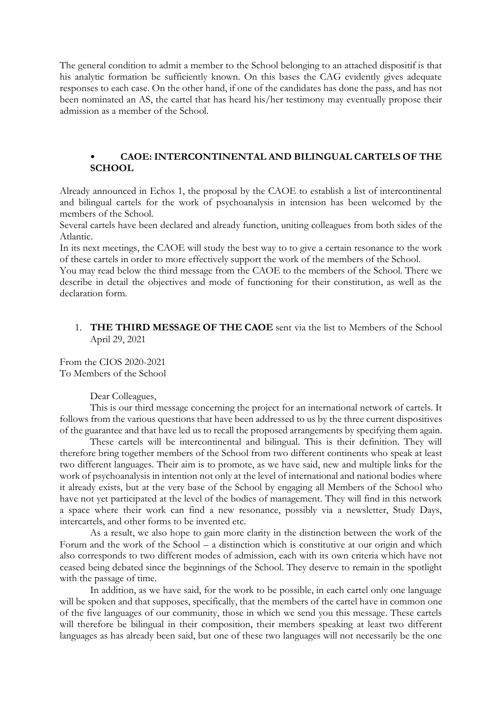The general condition to admit a member to the School belonging to an attached dispositif is that his analytic formation be sufficiently known. On this bases the CAG evidently gives adequate responses to each case. On the other hand, if one of the candidates has done the pass, and has not been nominated an AS, the cartel that has heard his/her testimony may eventually propose their admission as a member of the School.

#### • **CAOE: INTERCONTINENTAL AND BILINGUAL CARTELS OF THE SCHOOL**

Already announced in Echos 1, the proposal by the CAOE to establish a list of intercontinental and bilingual cartels for the work of psychoanalysis in intension has been welcomed by the members of the School.

Several cartels have been declared and already function, uniting colleagues from both sides of the Atlantic.

In its next meetings, the CAOE will study the best way to to give a certain resonance to the work of these cartels in order to more effectively support the work of the members of the School.

You may read below the third message from the CAOE to the members of the School. There we describe in detail the objectives and mode of functioning for their constitution, as well as the declaration form.

#### 1. **THE THIRD MESSAGE OF THE CAOE** sent via the list to Members of the School April 29, 2021

From the CIOS 2020-2021 To Members of the School

Dear Colleagues,

This is our third message concerning the project for an international network of cartels. It follows from the various questions that have been addressed to us by the three current dispositives of the guarantee and that have led us to recall the proposed arrangements by specifying them again.

These cartels will be intercontinental and bilingual. This is their definition. They will therefore bring together members of the School from two different continents who speak at least two different languages. Their aim is to promote, as we have said, new and multiple links for the work of psychoanalysis in intention not only at the level of international and national bodies where it already exists, but at the very base of the School by engaging all Members of the School who have not yet participated at the level of the bodies of management. They will find in this network a space where their work can find a new resonance, possibly via a newsletter, Study Days, intercartels, and other forms to be invented etc.

As a result, we also hope to gain more clarity in the distinction between the work of the Forum and the work of the School – a distinction which is constitutive at our origin and which also corresponds to two different modes of admission, each with its own criteria which have not ceased being debated since the beginnings of the School. They deserve to remain in the spotlight with the passage of time.

In addition, as we have said, for the work to be possible, in each cartel only one language will be spoken and that supposes, specifically, that the members of the cartel have in common one of the five languages of our community, those in which we send you this message. These cartels will therefore be bilingual in their composition, their members speaking at least two different languages as has already been said, but one of these two languages will not necessarily be the one